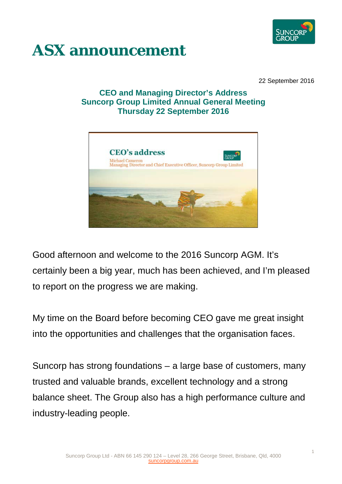

## **ASX announcement**

22 September 2016

## **CEO and Managing Director's Address Suncorp Group Limited Annual General Meeting Thursday 22 September 2016**



Good afternoon and welcome to the 2016 Suncorp AGM. It's certainly been a big year, much has been achieved, and I'm pleased to report on the progress we are making.

My time on the Board before becoming CEO gave me great insight into the opportunities and challenges that the organisation faces.

Suncorp has strong foundations – a large base of customers, many trusted and valuable brands, excellent technology and a strong balance sheet. The Group also has a high performance culture and industry-leading people.

1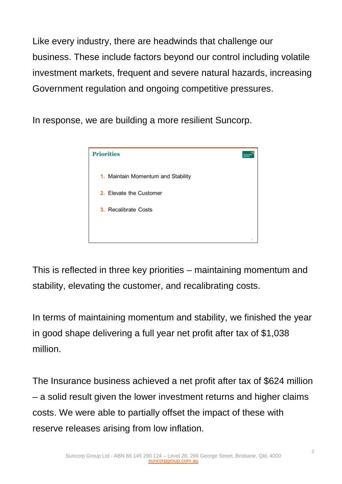Like every industry, there are headwinds that challenge our business. These include factors beyond our control including volatile investment markets, frequent and severe natural hazards, increasing Government regulation and ongoing competitive pressures.

In response, we are building a more resilient Suncorp.



This is reflected in three key priorities – maintaining momentum and stability, elevating the customer, and recalibrating costs.

In terms of maintaining momentum and stability, we finished the year in good shape delivering a full year net profit after tax of \$1,038 million.

The Insurance business achieved a net profit after tax of \$624 million – a solid result given the lower investment returns and higher claims costs. We were able to partially offset the impact of these with reserve releases arising from low inflation.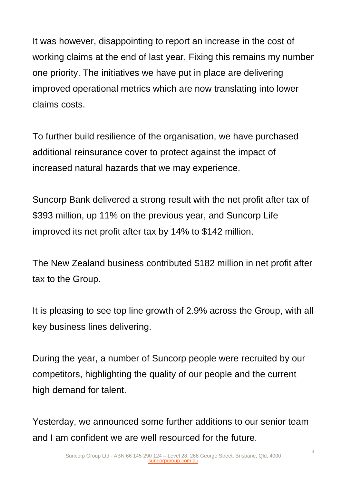It was however, disappointing to report an increase in the cost of working claims at the end of last year. Fixing this remains my number one priority. The initiatives we have put in place are delivering improved operational metrics which are now translating into lower claims costs.

To further build resilience of the organisation, we have purchased additional reinsurance cover to protect against the impact of increased natural hazards that we may experience.

Suncorp Bank delivered a strong result with the net profit after tax of \$393 million, up 11% on the previous year, and Suncorp Life improved its net profit after tax by 14% to \$142 million.

The New Zealand business contributed \$182 million in net profit after tax to the Group.

It is pleasing to see top line growth of 2.9% across the Group, with all key business lines delivering.

During the year, a number of Suncorp people were recruited by our competitors, highlighting the quality of our people and the current high demand for talent.

Yesterday, we announced some further additions to our senior team and I am confident we are well resourced for the future.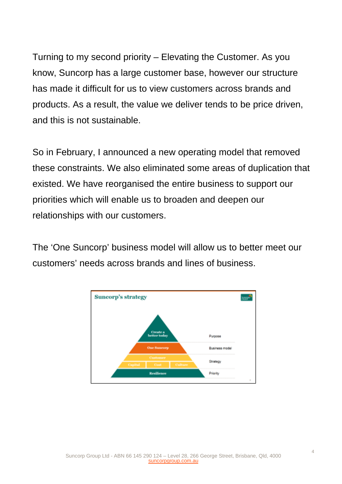Turning to my second priority – Elevating the Customer. As you know, Suncorp has a large customer base, however our structure has made it difficult for us to view customers across brands and products. As a result, the value we deliver tends to be price driven, and this is not sustainable.

So in February, I announced a new operating model that removed these constraints. We also eliminated some areas of duplication that existed. We have reorganised the entire business to support our priorities which will enable us to broaden and deepen our relationships with our customers.

The 'One Suncorp' business model will allow us to better meet our customers' needs across brands and lines of business.

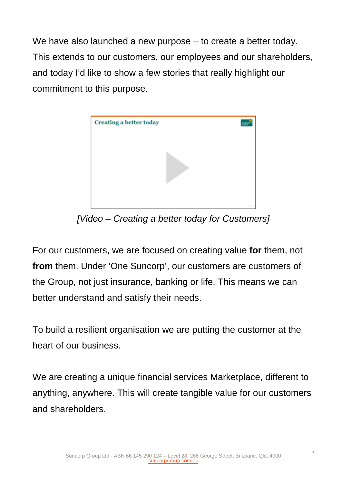We have also launched a new purpose – to create a better today. This extends to our customers, our employees and our shareholders, and today I'd like to show a few stories that really highlight our commitment to this purpose.



*[Video – Creating a better today for Customers]*

For our customers, we are focused on creating value **for** them, not **from** them. Under 'One Suncorp', our customers are customers of the Group, not just insurance, banking or life. This means we can better understand and satisfy their needs.

To build a resilient organisation we are putting the customer at the heart of our business.

We are creating a unique financial services Marketplace, different to anything, anywhere. This will create tangible value for our customers and shareholders.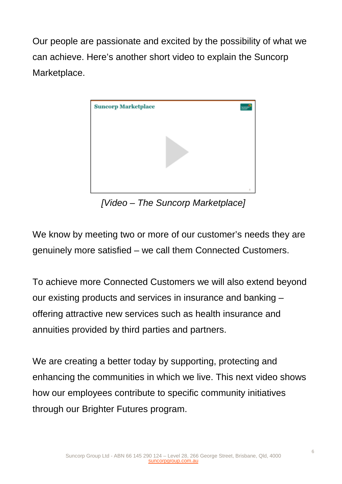Our people are passionate and excited by the possibility of what we can achieve. Here's another short video to explain the Suncorp Marketplace.



*[Video – The Suncorp Marketplace]*

We know by meeting two or more of our customer's needs they are genuinely more satisfied – we call them Connected Customers.

To achieve more Connected Customers we will also extend beyond our existing products and services in insurance and banking – offering attractive new services such as health insurance and annuities provided by third parties and partners.

We are creating a better today by supporting, protecting and enhancing the communities in which we live. This next video shows how our employees contribute to specific community initiatives through our Brighter Futures program.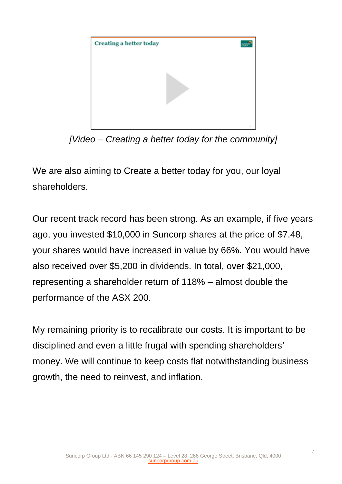

*[Video – Creating a better today for the community]*

We are also aiming to Create a better today for you, our loyal shareholders.

Our recent track record has been strong. As an example, if five years ago, you invested \$10,000 in Suncorp shares at the price of \$7.48, your shares would have increased in value by 66%. You would have also received over \$5,200 in dividends. In total, over \$21,000, representing a shareholder return of 118% – almost double the performance of the ASX 200.

My remaining priority is to recalibrate our costs. It is important to be disciplined and even a little frugal with spending shareholders' money. We will continue to keep costs flat notwithstanding business growth, the need to reinvest, and inflation.